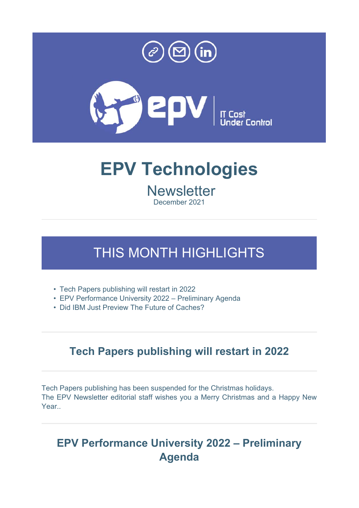



# **EPV Technologies**

**Newsletter** December 2021

# THIS MONTH HIGHLIGHTS

- Tech Papers publishing will restart in 2022
- EPV Performance University 2022 Preliminary Agenda
- Did IBM Just Preview The Future of Caches?

#### **Tech Papers publishing will restart in 2022**

Tech Papers publishing has been suspended for the Christmas holidays. The EPV Newsletter editorial staff wishes you a Merry Christmas and a Happy New Year..

### **EPV Performance University 2022 – Preliminary Agenda**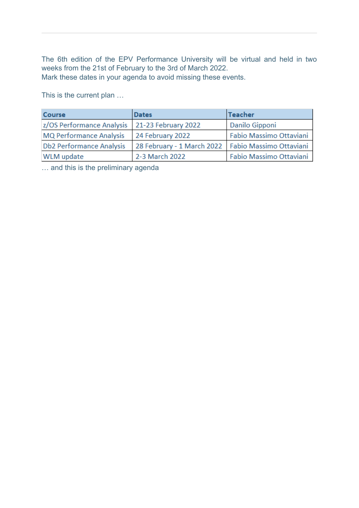The 6th edition of the EPV Performance University will be virtual and held in two weeks from the 21st of February to the 3rd of March 2022. Mark these dates in your agenda to avoid missing these events.

This is the current plan …

| Course                          | <b>Dates</b>                                         | Teacher                 |
|---------------------------------|------------------------------------------------------|-------------------------|
| z/OS Performance Analysis       | 21-23 February 2022                                  | Danilo Gipponi          |
| <b>MQ Performance Analysis</b>  | 24 February 2022                                     | Fabio Massimo Ottaviani |
| <b>Db2 Performance Analysis</b> | 28 February - 1 March 2022   Fabio Massimo Ottaviani |                         |
| <b>WLM</b> update               | 2-3 March 2022                                       | Fabio Massimo Ottaviani |

… and this is the preliminary agenda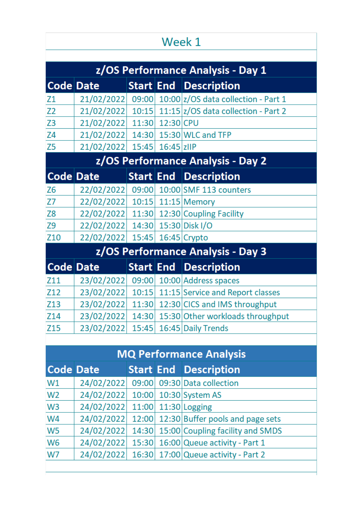# Week 1

| z/OS Performance Analysis - Day 1 |                                   |  |  |                                                      |  |  |
|-----------------------------------|-----------------------------------|--|--|------------------------------------------------------|--|--|
| Code Date                         |                                   |  |  | <b>Start End Description</b>                         |  |  |
| Z1                                |                                   |  |  | 21/02/2022 09:00 10:00 z/OS data collection - Part 1 |  |  |
| Z <sub>2</sub>                    |                                   |  |  | 21/02/2022 10:15 11:15 z/OS data collection - Part 2 |  |  |
| Z <sub>3</sub>                    | 21/02/2022 11:30 12:30 CPU        |  |  |                                                      |  |  |
| Z4                                | 21/02/2022                        |  |  | 14:30 15:30 WLC and TFP                              |  |  |
| Z <sub>5</sub>                    | 21/02/2022 15:45 16:45 ZIIP       |  |  |                                                      |  |  |
|                                   |                                   |  |  | z/OS Performance Analysis - Day 2                    |  |  |
| Code Date                         |                                   |  |  | <b>Start End Description</b>                         |  |  |
| Z <sub>6</sub>                    |                                   |  |  | 22/02/2022 09:00 10:00 SMF 113 counters              |  |  |
| Z7                                | 22/02/2022 10:15 11:15 Memory     |  |  |                                                      |  |  |
| Z <sub>8</sub>                    |                                   |  |  | 22/02/2022 11:30 12:30 Coupling Facility             |  |  |
| <b>Z9</b>                         | 22/02/2022                        |  |  | 14:30 15:30 Disk I/O                                 |  |  |
| Z10                               | 22/02/2022 15:45 16:45 Crypto     |  |  |                                                      |  |  |
|                                   | z/OS Performance Analysis - Day 3 |  |  |                                                      |  |  |
| <b>Code Date</b>                  |                                   |  |  | <b>Start End Description</b>                         |  |  |
| Z11                               | 23/02/2022                        |  |  | 09:00 10:00 Address spaces                           |  |  |
| Z12                               | 23/02/2022                        |  |  | 10:15 11:15 Service and Report classes               |  |  |
| Z13                               | 23/02/2022                        |  |  | 11:30 12:30 CICS and IMS throughput                  |  |  |
| Z14                               | 23/02/2022                        |  |  | 14:30 15:30 Other workloads throughput               |  |  |
| Z <sub>15</sub>                   | 23/02/2022                        |  |  | 15:45 16:45 Daily Trends                             |  |  |

| <b>MQ Performance Analysis</b> |                                  |  |  |                                                   |
|--------------------------------|----------------------------------|--|--|---------------------------------------------------|
| <b>Code Date</b>               |                                  |  |  | <b>Start End Description</b>                      |
| W1                             |                                  |  |  | 24/02/2022 09:00 09:30 Data collection            |
| W <sub>2</sub>                 | 24/02/2022 10:00 10:30 System AS |  |  |                                                   |
| W <sub>3</sub>                 | 24/02/2022 11:00 11:30 Logging   |  |  |                                                   |
| W <sub>4</sub>                 |                                  |  |  | 24/02/2022 12:00 12:30 Buffer pools and page sets |
| W <sub>5</sub>                 |                                  |  |  | 24/02/2022 14:30 15:00 Coupling facility and SMDS |
| W <sub>6</sub>                 |                                  |  |  | 24/02/2022 15:30 16:00 Queue activity - Part 1    |
| W7                             |                                  |  |  | 24/02/2022 16:30 17:00 Queue activity - Part 2    |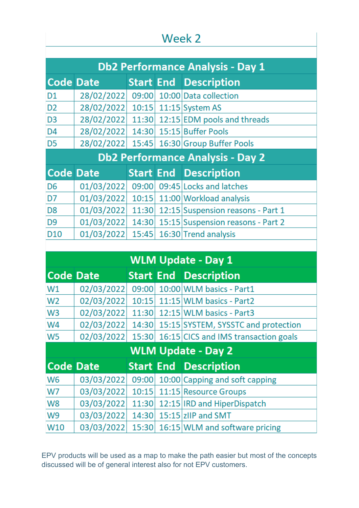## Week 2

| <b>Db2 Performance Analysis - Day 1</b> |                                  |       |  |                                         |  |
|-----------------------------------------|----------------------------------|-------|--|-----------------------------------------|--|
| <b>Code Date</b>                        |                                  |       |  | <b>Start End Description</b>            |  |
| D <sub>1</sub>                          | 28/02/2022                       |       |  | 09:00 10:00 Data collection             |  |
| D <sub>2</sub>                          | 28/02/2022 10:15 11:15 System AS |       |  |                                         |  |
| D <sub>3</sub>                          | 28/02/2022                       |       |  | 11:30 12:15 EDM pools and threads       |  |
| D <sub>4</sub>                          | 28/02/2022                       |       |  | 14:30 15:15 Buffer Pools                |  |
| D <sub>5</sub>                          | 28/02/2022                       |       |  | 15:45 16:30 Group Buffer Pools          |  |
| <b>Db2 Performance Analysis - Day 2</b> |                                  |       |  |                                         |  |
|                                         |                                  |       |  |                                         |  |
| <b>Code Date</b>                        |                                  |       |  | <b>Start End Description</b>            |  |
| D <sub>6</sub>                          | 01/03/2022                       | 09:00 |  | 09:45 Locks and latches                 |  |
| D7                                      | 01/03/2022                       |       |  | 10:15 11:00 Workload analysis           |  |
| D <sub>8</sub>                          | 01/03/2022                       |       |  | 11:30 12:15 Suspension reasons - Part 1 |  |
| D <sub>9</sub>                          | 01/03/2022                       |       |  | 14:30 15:15 Suspension reasons - Part 2 |  |

|                           |                  |       |  | <b>WLM Update - Day 1</b>            |  |
|---------------------------|------------------|-------|--|--------------------------------------|--|
| <b>Code Date</b>          |                  |       |  | <b>Start End Description</b>         |  |
| W1                        | 02/03/2022       | 09:00 |  | 10:00 WLM basics - Part1             |  |
| W <sub>2</sub>            | 02/03/2022       |       |  | 10:15 11:15 WLM basics - Part2       |  |
| W <sub>3</sub>            | 02/03/2022       |       |  | 11:30 12:15 WLM basics - Part3       |  |
| W <sub>4</sub>            | 02/03/2022       | 14:30 |  | 15:15 SYSTEM, SYSSTC and protection  |  |
| W <sub>5</sub>            | 02/03/2022       | 15:30 |  | 16:15 CICS and IMS transaction goals |  |
| <b>WLM Update - Day 2</b> |                  |       |  |                                      |  |
|                           |                  |       |  |                                      |  |
|                           | <b>Code Date</b> |       |  | <b>Start End Description</b>         |  |
| W <sub>6</sub>            | 03/03/2022       | 09:00 |  | 10:00 Capping and soft capping       |  |
| W7                        | 03/03/2022       | 10:15 |  | 11:15 Resource Groups                |  |
| W <sub>8</sub>            | 03/03/2022       | 11:30 |  | 12:15 IRD and HiperDispatch          |  |
| W <sub>9</sub>            | 03/03/2022       | 14:30 |  | 15:15 zllP and SMT                   |  |

EPV products will be used as a map to make the path easier but most of the concepts discussed will be of general interest also for not EPV customers.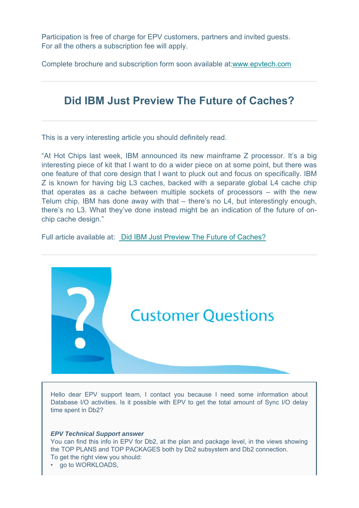Participation is free of charge for EPV customers, partners and invited guests. For all the others a subscription fee will apply.

Complete brochure and subscription form soon available at:www.epvtech.com

#### **Did IBM Just Preview The Future of Caches?**

This is a very interesting article you should definitely read.

"At Hot Chips last week, IBM announced its new mainframe Z processor. It's a big interesting piece of kit that I want to do a wider piece on at some point, but there was one feature of that core design that I want to pluck out and focus on specifically. IBM Z is known for having big L3 caches, backed with a separate global L4 cache chip that operates as a cache between multiple sockets of processors – with the new Telum chip, IBM has done away with that – there's no L4, but interestingly enough, there's no L3. What they've done instead might be an indication of the future of onchip cache design."

Full article available at: Did IBM Just Preview The Future of Caches?



Hello dear EPV support team, I contact you because I need some information about Database I/O activities. Is it possible with EPV to get the total amount of Sync I/O delay time spent in Db2?

#### *EPV Technical Support answer*

You can find this info in EPV for Db2, at the plan and package level, in the views showing the TOP PLANS and TOP PACKAGES both by Db2 subsystem and Db2 connection. To get the right view you should:

go to WORKLOADS,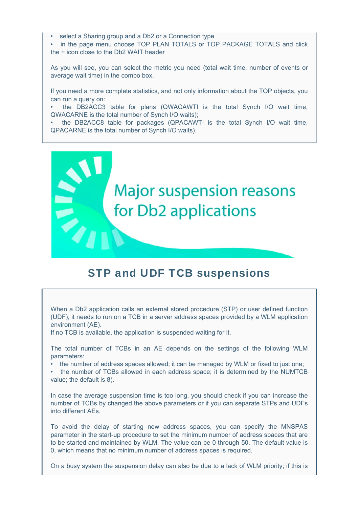select a Sharing group and a Db2 or a Connection type

• in the page menu choose TOP PLAN TOTALS or TOP PACKAGE TOTALS and click the + icon close to the Db2 WAIT header

As you will see, you can select the metric you need (total wait time, number of events or average wait time) in the combo box.

If you need a more complete statistics, and not only information about the TOP objects, you can run a query on:

• the DB2ACC3 table for plans (QWACAWTI is the total Synch I/O wait time, QWACARNE is the total number of Synch I/O waits);

• the DB2ACC8 table for packages (QPACAWTI is the total Synch I/O wait time, QPACARNE is the total number of Synch I/O waits).



#### STP and UDF TCB suspensions

When a Db2 application calls an external stored procedure (STP) or user defined function (UDF), it needs to run on a TCB in a server address spaces provided by a WLM application environment (AE).

If no TCB is available, the application is suspended waiting for it.

The total number of TCBs in an AE depends on the settings of the following WLM parameters:

• the number of address spaces allowed; it can be managed by WLM or fixed to just one;

• the number of TCBs allowed in each address space; it is determined by the NUMTCB value; the default is 8).

In case the average suspension time is too long, you should check if you can increase the number of TCBs by changed the above parameters or if you can separate STPs and UDFs into different AEs.

To avoid the delay of starting new address spaces, you can specify the MNSPAS parameter in the start-up procedure to set the minimum number of address spaces that are to be started and maintained by WLM. The value can be 0 through 50. The default value is 0, which means that no minimum number of address spaces is required.

On a busy system the suspension delay can also be due to a lack of WLM priority; if this is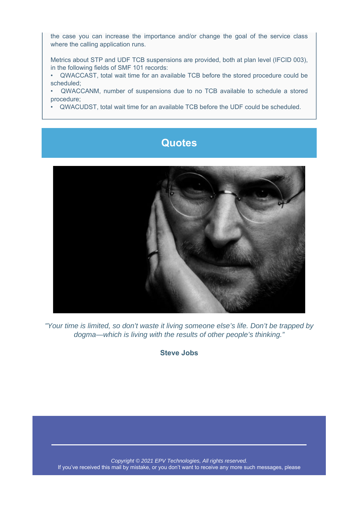the case you can increase the importance and/or change the goal of the service class where the calling application runs.

Metrics about STP and UDF TCB suspensions are provided, both at plan level (IFCID 003), in the following fields of SMF 101 records:

• QWACCAST, total wait time for an available TCB before the stored procedure could be scheduled;

• QWACCANM, number of suspensions due to no TCB available to schedule a stored procedure;

• QWACUDST, total wait time for an available TCB before the UDF could be scheduled.

#### **Quotes**



*"Your time is limited, so don't waste it living someone else's life. Don't be trapped by dogma—which is living with the results of other people's thinking."*

**Steve Jobs**

*Copyright © 2021 EPV Technologies, All rights reserved.* If you've received this mail by mistake, or you don't want to receive any more such messages, please